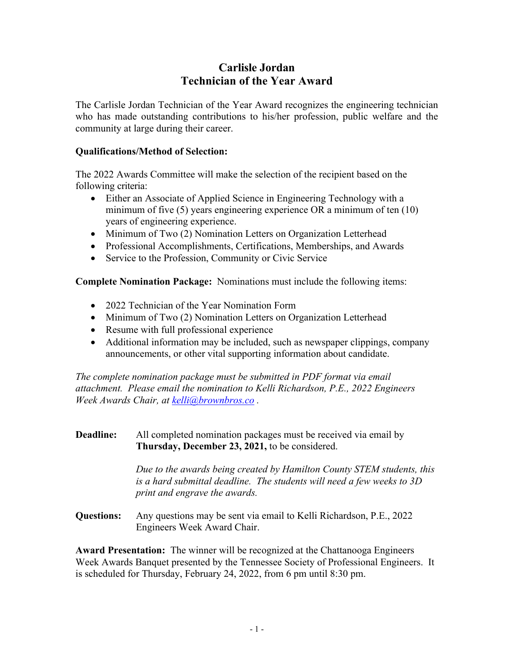# **Carlisle Jordan Technician of the Year Award**

The Carlisle Jordan Technician of the Year Award recognizes the engineering technician who has made outstanding contributions to his/her profession, public welfare and the community at large during their career.

### **Qualifications/Method of Selection:**

The 2022 Awards Committee will make the selection of the recipient based on the following criteria:

- Either an Associate of Applied Science in Engineering Technology with a minimum of five (5) years engineering experience OR a minimum of ten (10) years of engineering experience.
- Minimum of Two (2) Nomination Letters on Organization Letterhead
- Professional Accomplishments, Certifications, Memberships, and Awards
- Service to the Profession, Community or Civic Service

**Complete Nomination Package:** Nominations must include the following items:

- 2022 Technician of the Year Nomination Form
- Minimum of Two (2) Nomination Letters on Organization Letterhead
- Resume with full professional experience
- Additional information may be included, such as newspaper clippings, company announcements, or other vital supporting information about candidate.

*The complete nomination package must be submitted in PDF format via email attachment. Please email the nomination to Kelli Richardson, P.E., 2022 Engineers Week Awards Chair, at kelli@brownbros.co .* 

### **Deadline:** All completed nomination packages must be received via email by **Thursday, December 23, 2021,** to be considered.

 *Due to the awards being created by Hamilton County STEM students, this is a hard submittal deadline. The students will need a few weeks to 3D print and engrave the awards.* 

**Questions:** Any questions may be sent via email to Kelli Richardson, P.E., 2022 Engineers Week Award Chair.

**Award Presentation:** The winner will be recognized at the Chattanooga Engineers Week Awards Banquet presented by the Tennessee Society of Professional Engineers. It is scheduled for Thursday, February 24, 2022, from 6 pm until 8:30 pm.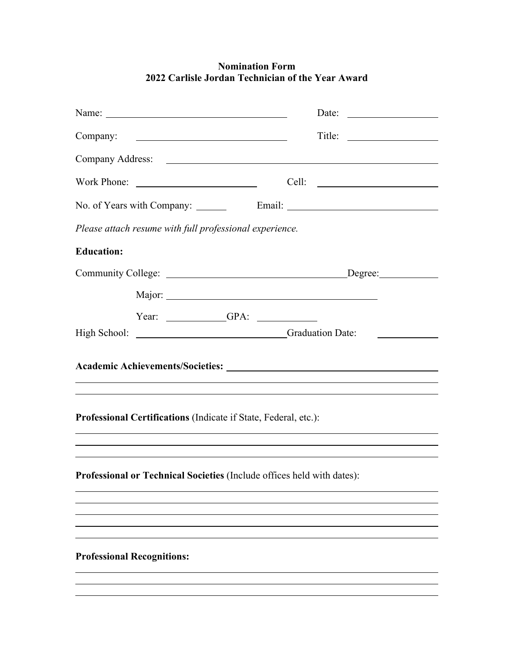# **Nomination Form 2022 Carlisle Jordan Technician of the Year Award**

| Company:                                                                                                                                            |       |
|-----------------------------------------------------------------------------------------------------------------------------------------------------|-------|
|                                                                                                                                                     |       |
|                                                                                                                                                     | Cell: |
|                                                                                                                                                     |       |
| Please attach resume with full professional experience.                                                                                             |       |
| <b>Education:</b>                                                                                                                                   |       |
|                                                                                                                                                     |       |
|                                                                                                                                                     |       |
| Year: $\qquad \qquad \qquad$ GPA: $\qquad \qquad$                                                                                                   |       |
| High School: Campaign Craduation Date:                                                                                                              |       |
|                                                                                                                                                     |       |
|                                                                                                                                                     |       |
| Professional Certifications (Indicate if State, Federal, etc.):<br>,我们也不会有什么。""我们的人,我们也不会有什么?""我们的人,我们也不会有什么?""我们的人,我们也不会有什么?""我们的人,我们也不会有什么?""我们的人 |       |
| Professional or Technical Societies (Include offices held with dates):                                                                              |       |
|                                                                                                                                                     |       |
|                                                                                                                                                     |       |
| <b>Professional Recognitions:</b>                                                                                                                   |       |
|                                                                                                                                                     |       |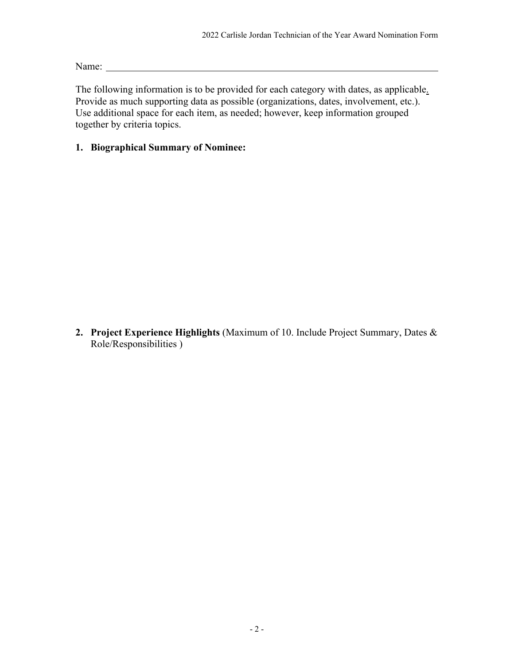Name:

The following information is to be provided for each category with dates, as applicable. Provide as much supporting data as possible (organizations, dates, involvement, etc.). Use additional space for each item, as needed; however, keep information grouped together by criteria topics.

# **1. Biographical Summary of Nominee:**

**2. Project Experience Highlights** (Maximum of 10. Include Project Summary, Dates & Role/Responsibilities )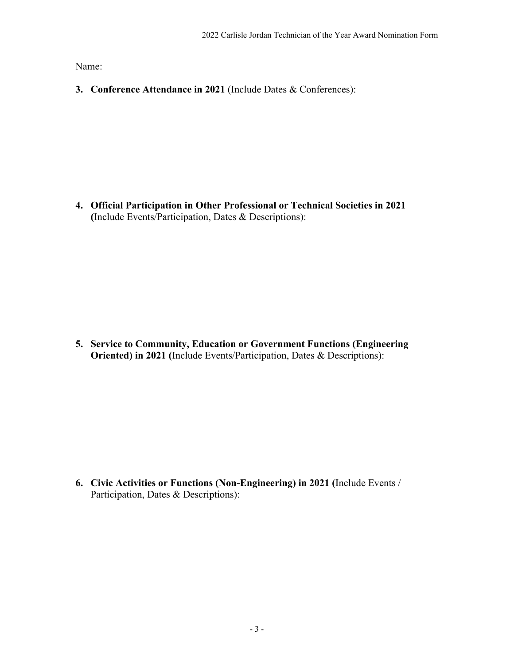Name: Name and the set of the set of the set of the set of the set of the set of the set of the set of the set of the set of the set of the set of the set of the set of the set of the set of the set of the set of the set o

**3. Conference Attendance in 2021** (Include Dates & Conferences):

**4. Official Participation in Other Professional or Technical Societies in 2021 (**Include Events/Participation, Dates & Descriptions):

**5. Service to Community, Education or Government Functions (Engineering Oriented) in 2021 (**Include Events/Participation, Dates & Descriptions):

**6. Civic Activities or Functions (Non-Engineering) in 2021 (**Include Events / Participation, Dates & Descriptions):